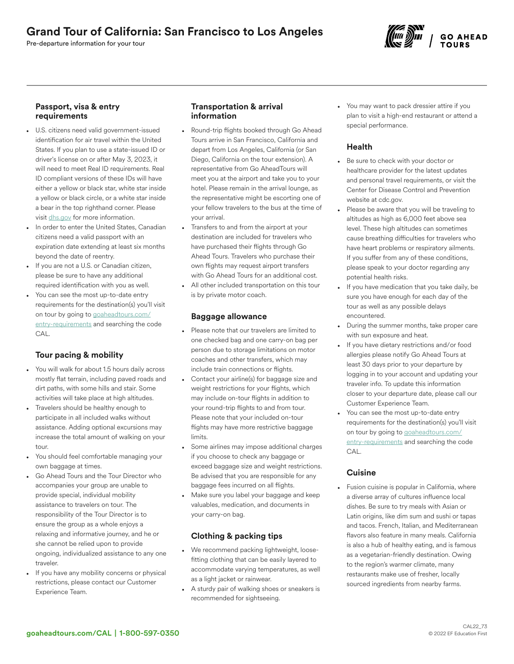Pre-departure information for your tour



## Passport, visa & entry requirements

- U.S. citizens need valid government-issued identification for air travel within the United States. If you plan to use a state-issued ID or driver's license on or after May 3, 2023, it will need to meet Real ID requirements. Real ID compliant versions of these IDs will have either a yellow or black star, white star inside a yellow or black circle, or a white star inside a bear in the top righthand corner. Please visit [dhs.gov](https://www.dhs.gov/real-id-frequently-asked-questions) for more information.
- In order to enter the United States, Canadian citizens need a valid passport with an expiration date extending at least six months beyond the date of reentry.
- If you are not a U.S. or Canadian citizen, please be sure to have any additional required identification with you as well.
- You can see the most up-to-date entry requirements for the destination(s) you'll visit on tour by going to [goaheadtours.com/](/entry-requirements?tourCode=CAL) [entry-requirements](/entry-requirements?tourCode=CAL) and searching the code CAL.

# Tour pacing & mobility

- You will walk for about 1.5 hours daily across mostly flat terrain, including paved roads and dirt paths, with some hills and stair. Some activities will take place at high altitudes.
- Travelers should be healthy enough to participate in all included walks without assistance. Adding optional excursions may increase the total amount of walking on your tour.
- You should feel comfortable managing your own baggage at times.
- Go Ahead Tours and the Tour Director who accompanies your group are unable to provide special, individual mobility assistance to travelers on tour. The responsibility of the Tour Director is to ensure the group as a whole enjoys a relaxing and informative journey, and he or she cannot be relied upon to provide ongoing, individualized assistance to any one traveler.
- If you have any mobility concerns or physical restrictions, please contact our Customer Experience Team.

## Transportation & arrival information

- Round-trip flights booked through Go Ahead Tours arrive in San Francisco, California and depart from Los Angeles, California (or San Diego, California on the tour extension). A representative from Go AheadTours will meet you at the airport and take you to your hotel. Please remain in the arrival lounge, as the representative might be escorting one of your fellow travelers to the bus at the time of your arrival.
- Transfers to and from the airport at your destination are included for travelers who have purchased their flights through Go Ahead Tours. Travelers who purchase their own flights may request airport transfers with Go Ahead Tours for an additional cost.
- All other included transportation on this tour is by private motor coach.

### Baggage allowance

- Please note that our travelers are limited to one checked bag and one carry-on bag per person due to storage limitations on motor coaches and other transfers, which may include train connections or flights.
- Contact your airline(s) for baggage size and weight restrictions for your flights, which may include on-tour flights in addition to your round-trip flights to and from tour. Please note that your included on-tour flights may have more restrictive baggage limits.
- Some airlines may impose additional charges if you choose to check any baggage or exceed baggage size and weight restrictions. Be advised that you are responsible for any baggage fees incurred on all flights.
- Make sure you label your baggage and keep valuables, medication, and documents in your carry-on bag.

# Clothing & packing tips

- We recommend packing lightweight, loosefitting clothing that can be easily layered to accommodate varying temperatures, as well as a light jacket or rainwear.
- A sturdy pair of walking shoes or sneakers is recommended for sightseeing.

• You may want to pack dressier attire if you plan to visit a high-end restaurant or attend a special performance.

## Health

- Be sure to check with your doctor or healthcare provider for the latest updates and personal travel requirements, or visit the Center for Disease Control and Prevention website at cdc.gov.
- Please be aware that you will be traveling to altitudes as high as 6,000 feet above sea level. These high altitudes can sometimes cause breathing difficulties for travelers who have heart problems or respiratory ailments. If you suffer from any of these conditions, please speak to your doctor regarding any potential health risks.
- If you have medication that you take daily, be sure you have enough for each day of the tour as well as any possible delays encountered.
- During the summer months, take proper care with sun exposure and heat.
- If you have dietary restrictions and/or food allergies please notify Go Ahead Tours at least 30 days prior to your departure by logging in to your account and updating your traveler info. To update this information closer to your departure date, please call our Customer Experience Team.
- You can see the most up-to-date entry requirements for the destination(s) you'll visit on tour by going to [goaheadtours.com/](/entry-requirements?tourCode=CAL) [entry-requirements](/entry-requirements?tourCode=CAL) and searching the code CAL.

### **Cuisine**

Fusion cuisine is popular in California, where a diverse array of cultures influence local dishes. Be sure to try meals with Asian or Latin origins, like dim sum and sushi or tapas and tacos. French, Italian, and Mediterranean flavors also feature in many meals. California is also a hub of healthy eating, and is famous as a vegetarian-friendly destination. Owing to the region's warmer climate, many restaurants make use of fresher, locally sourced ingredients from nearby farms.